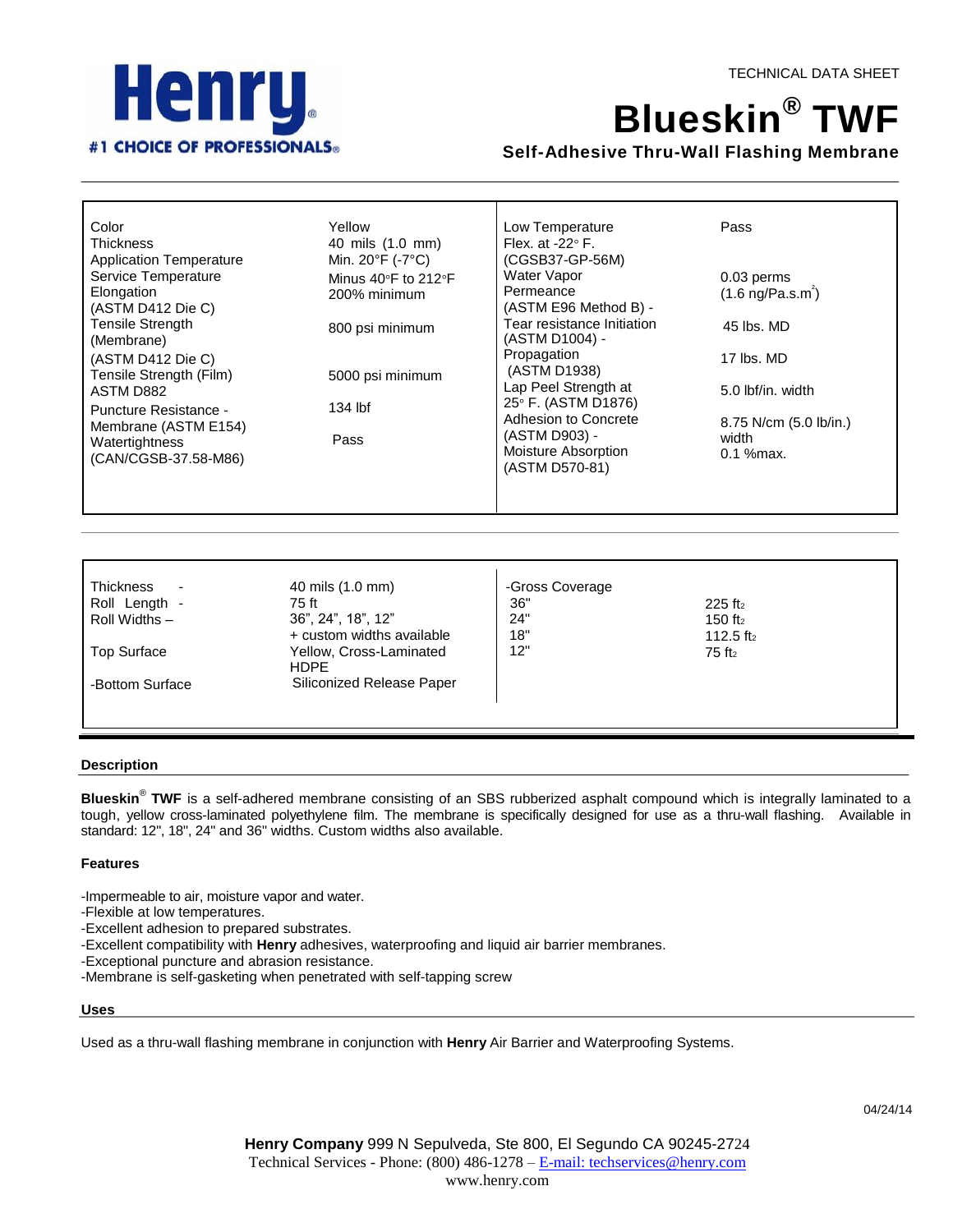



# **Blueskin ® TWF**

# **Self-Adhesive Thru-Wall Flashing Membrane**

| Color<br><b>Thickness</b><br><b>Application Temperature</b> | Yellow<br>40 mils (1.0 mm)<br>Min. 20°F (-7°C) | Low Temperature<br>Flex. at $-22^\circ$ F.<br>(CGSB37-GP-56M) | Pass                        |
|-------------------------------------------------------------|------------------------------------------------|---------------------------------------------------------------|-----------------------------|
| Service Temperature                                         | Minus 40°F to 212°F                            | Water Vapor<br>Permeance                                      | 0.03 perms                  |
| Elongation<br>(ASTM D412 Die C)                             | 200% minimum                                   | (ASTM E96 Method B) -                                         | $(1.6 \text{ ng/Pa.s.m}^2)$ |
| <b>Tensile Strength</b><br>(Membrane)                       | 800 psi minimum                                | Tear resistance Initiation<br>(ASTM D1004) -                  | 45 lbs. MD                  |
| (ASTM D412 Die C)<br>Tensile Strength (Film)                | 5000 psi minimum                               | Propagation<br>(ASTM D1938)                                   | 17 lbs. MD                  |
| ASTM D882                                                   |                                                | Lap Peel Strength at<br>25° F. (ASTM D1876)                   | 5.0 lbf/in. width           |
| Puncture Resistance -<br>Membrane (ASTM E154)               | 134 lbf                                        | Adhesion to Concrete                                          | 8.75 N/cm (5.0 lb/in.)      |
| Watertightness<br>(CAN/CGSB-37.58-M86)                      | Pass                                           | (ASTM D903) -<br>Moisture Absorption<br>(ASTM D570-81)        | width<br>$0.1$ % max.       |
|                                                             |                                                |                                                               |                             |

| <b>Thickness</b><br>$\overline{\phantom{a}}$ | 40 mils (1.0 mm)                       | -Gross Coverage |                       |
|----------------------------------------------|----------------------------------------|-----------------|-----------------------|
| Roll Length -                                | 75 ft                                  | 36"             | $225$ ft <sub>2</sub> |
| Roll Widths -                                | 36", 24", 18", 12"                     | 24"             | 150 $ft2$             |
|                                              | + custom widths available              | 18"             | 112.5 ft <sub>2</sub> |
| <b>Top Surface</b>                           | Yellow, Cross-Laminated<br><b>HDPF</b> | 12"             | $75$ ft <sub>2</sub>  |
| -Bottom Surface                              | Siliconized Release Paper              |                 |                       |
|                                              |                                        |                 |                       |

 $\mathbf{r}$ 

## **Description**

**Blueskin**® **TWF** is a self-adhered membrane consisting of an SBS rubberized asphalt compound which is integrally laminated to a tough, yellow cross-laminated polyethylene film. The membrane is specifically designed for use as a thru-wall flashing. Available in standard: 12", 18", 24" and 36" widths. Custom widths also available.

# **Features**

-Impermeable to air, moisture vapor and water.

-Flexible at low temperatures.

-Excellent adhesion to prepared substrates.

-Excellent compatibility with **Henry** adhesives, waterproofing and liquid air barrier membranes.

-Exceptional puncture and abrasion resistance.

-Membrane is self-gasketing when penetrated with self-tapping screw

## **Uses**

Used as a thru-wall flashing membrane in conjunction with **Henry** Air Barrier and Waterproofing Systems.